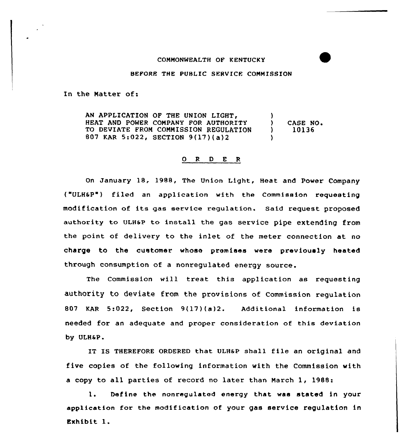## COMMONWEALTH OF KENTUCKY

## BEFORE THE PUBLIC SERVICE COMMISSION

In the Natter of:

AN APPLICATION OF THE UNION LIGHT,  $\begin{array}{c} \hline \end{array}$ <br>HEAT AND POWER COMPANY FOR AUTHORITY ) HEAT AND POWER COMPANY FOR AUTHORITY (and ) CASE NO.<br>TO DEVIATE FROM COMMISSION REGULATION (b) 10136 TO DEVIATE FROM COMMISSION REGULATION 807 KAR 5:022, SECTION 9(17)(a)2 )

## 0 <sup>R</sup> <sup>D</sup> E <sup>R</sup>

On January 18, 1988, The Union Light, Heat and power Company ("ULH&P") filed an application with the Commission requesting modif ication of its gas service regulation. Said request proposed authority to ULH6P to install the gas service pipe extending from the point, of delivery to the inlet of the meter connection at no charge to the customer whose promises were previously heated through consumption of a nonregulated energy source.

The Commission will treat this application as requesting authority to deviate from the provisions of Commission regulation 807 KAR 5:022, Section 9(17)(a)2. Additional information is needed for an adequate and proper consideration of this deviation by ULH6P.

IT IS THEREFORE ORDERED that ULH&P shall file an original and five copies of the following information with the Commission with <sup>a</sup> copy to all parties of record no later than March 1, 1988:

1. Define the nonregulated energy that was stated in your application for the modification of your gas service regulation in Exhibit l.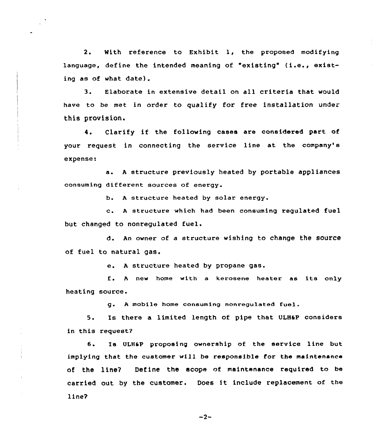2. With reference to Exhibit l, the proposed modifying language, define the intended meaning of "existing" (i.e., existing as of what date).

3. Elaborate in extensive detail on all criteria that would have to be met in order to qualify for free installation under this provision.

4. Clarify if the following cases are considered part of your request in connecting the service line at the company's expense:

a. <sup>A</sup> structure previously heated by portable appliances consuming different sources of energy.

b. A structure heated by solar energy.

c. <sup>A</sup> structure which had been consuming regulated fuel but changed to nonregulated fuel,

d. An owner of a structure wishing to change the source of fuel to natural gas.

e. <sup>A</sup> structure heated by propane gas.

f <sup>~</sup> <sup>A</sup> new home with <sup>a</sup> kexosene heater as its only heating source.

g. A mobile home consuming nonregulated fuel.

5. Is there a limited length of pipe that ULHaP considers in this request?

6. Is ULH6P proposing ownership of the service line but implying that the customer will be responsible for the maintenance of the line? Define the scope of maintenance required to be carried out by the customer. Does it include replacement of the line?

 $-2-$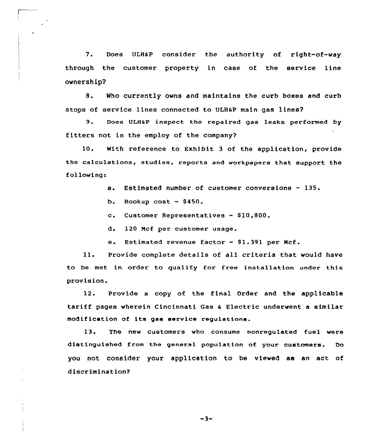7. Does ULH&P consider the authority of right-of-way through the customer property in case of the service line ownership?

8. Who currently owns and maintains the curb boxes and curb stops of service lines connected to ULHaP main gas lines?

9. Does ULHaP inspect the repaired gas leaks performed by fitters not in the employ of the company?

10. With reference to Exhibit <sup>3</sup> of the application, provide the calculations, studies, reports and workpapers that support the following:

a. Estimated number of customer conversions — 135.

b. Hookup cost  $-$  \$450.

C. Customer Representatives — 810,800.

d, 120 Mcf per customer usage.

e. Estimated revenue factor - \$1.391 per Mcf.

ll. Provide complete details of all criteria that would have to be met in order to qualify for free installation under this provision.

12. Provide a copy of the final Order and the applicable tariff pages wherein Cincinnati Gas <sup>a</sup> Electric underwent a similar modif iCation of its gas service regulations.

13. The new customers who consume nonregulated fuel were distinguished from the general population of your. customers. Do you not consider your application to be viewed as an act of discrimination?

 $-3-$